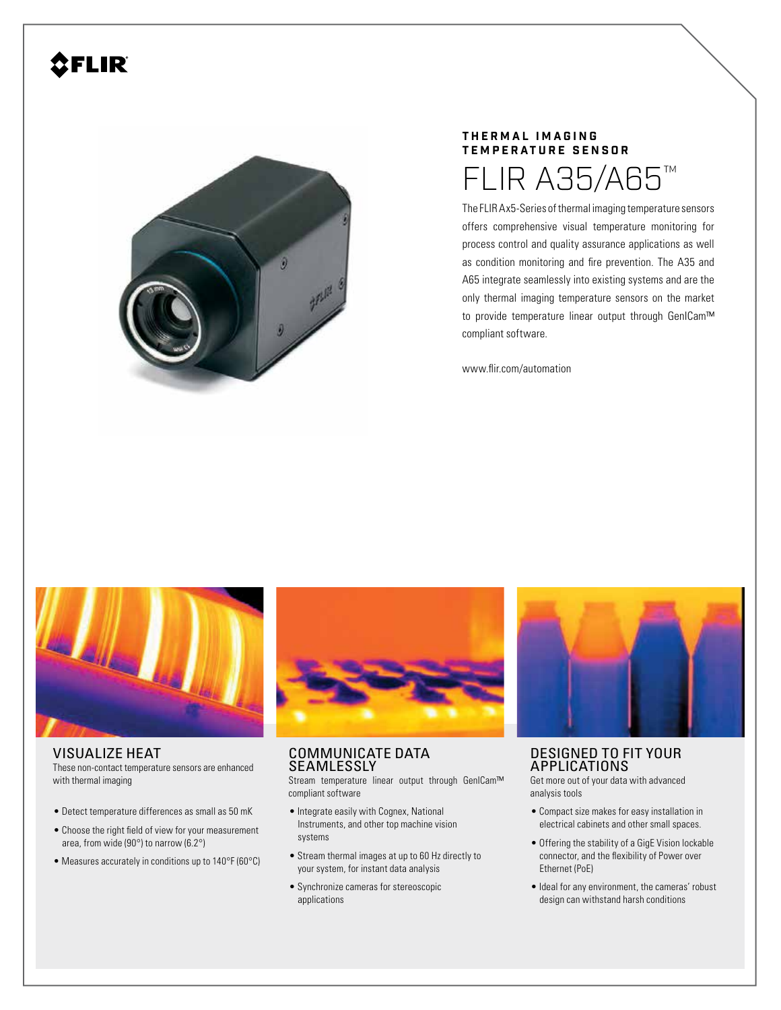# **OFLIR**



### **T H E R M A L I M A G I N G TEMPERATURE SENSOR**

The FLIR Ax5-Series of thermal imaging temperature sensors FLIR A35/A65™

offers comprehensive visual temperature monitoring for process control and quality assurance applications as well as condition monitoring and fire prevention. The A35 and A65 integrate seamlessly into existing systems and are the only thermal imaging temperature sensors on the market to provide temperature linear output through GenICam™ compliant software.

www.flir.com/automation



#### VISUALIZE HEAT

These non-contact temperature sensors are enhanced with thermal imaging

- Detect temperature differences as small as 50 mK
- Choose the right field of view for your measurement area, from wide (90°) to narrow (6.2°)
- Measures accurately in conditions up to 140°F (60°C)

COMMUNICATE DATA **SEAMLESSLY** 

Stream temperature linear output through GenICam™ compliant software

- Integrate easily with Cognex, National Instruments, and other top machine vision systems
- Stream thermal images at up to 60 Hz directly to your system, for instant data analysis
- Synchronize cameras for stereoscopic applications



# DESIGNED TO FIT YOUR APPLICATIONS

Get more out of your data with advanced analysis tools

- Compact size makes for easy installation in electrical cabinets and other small spaces.
- Offering the stability of a GigE Vision lockable connector, and the flexibility of Power over Ethernet (PoE)
- Ideal for any environment, the cameras' robust design can withstand harsh conditions